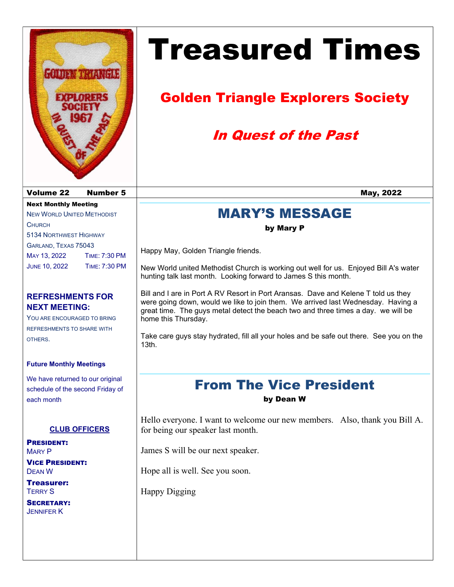

# Treasured Times

# Golden Triangle Explorers Society

# In Quest of the Past

## MARY'S MESSAGE

#### by Mary P

Happy May, Golden Triangle friends.

New World united Methodist Church is working out well for us. Enjoyed Bill A's water hunting talk last month. Looking forward to James S this month.

Bill and I are in Port A RV Resort in Port Aransas. Dave and Kelene T told us they were going down, would we like to join them. We arrived last Wednesday. Having a great time. The guys metal detect the beach two and three times a day. we will be home this Thursday.

Take care guys stay hydrated, fill all your holes and be safe out there. See you on the 13th.

# From The Vice President

by Dean W

Hello everyone. I want to welcome our new members. Also, thank you Bill A. for being our speaker last month.

James S will be our next speaker.

Hope all is well. See you soon.

Happy Digging

JUNE 10, 2022 TIME: 7:30 PM

MAY 13, 2022 TIME: 7:30 PM

Next Monthly Meeting NEW WORLD UNITED METHODIST

5134 NORTHWEST HIGHWAY GARLAND, TEXAS 75043

**CHURCH** 

#### REFRESHMENTS FOR NEXT MEETING:

YOU ARE ENCOURAGED TO BRING REFRESHMENTS TO SHARE WITH OTHERS.

#### Future Monthly Meetings

We have returned to our original schedule of the second Friday of each month

#### CLUB OFFICERS

PRESIDENT: MARY P

VICE PRESIDENT: DEAN W

Treasurer: TERRY S

SECRETARY: JENNIFER K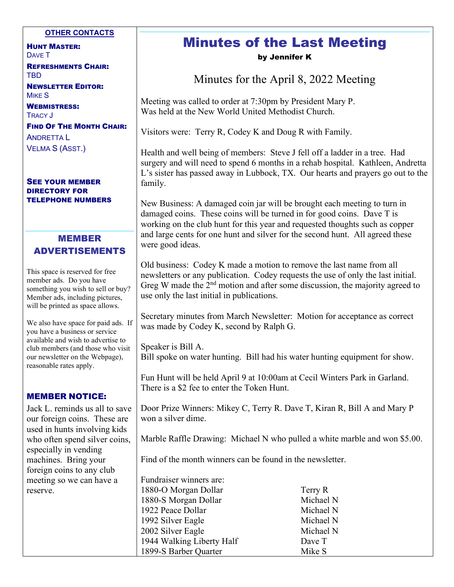#### OTHER CONTACTS

HUNT MASTER: DAVE T REFRESHMENTS CHAIR: TBD

NEWSLETTER EDITOR: MIKE S

WEBMISTRESS: TRACY J

FIND OF THE MONTH CHAIR: ANDRETTA L VELMA S (ASST.)

SEE YOUR MEMBER DIRECTORY FOR TELEPHONE NUMBERS

#### MEMBER ADVERTISEMENTS

This space is reserved for free member ads. Do you have something you wish to sell or buy? Member ads, including pictures, will be printed as space allows.

We also have space for paid ads. If you have a business or service available and wish to advertise to club members (and those who visit our newsletter on the Webpage), reasonable rates apply.

#### MEMBER NOTICE:

Jack L. reminds us all to save our foreign coins. These are used in hunts involving kids who often spend silver coins, especially in vending machines. Bring your foreign coins to any club meeting so we can have a reserve.

#### Minutes of the Last Meeting by Jennifer K

Minutes for the April 8, 2022 Meeting

Meeting was called to order at 7:30pm by President Mary P. Was held at the New World United Methodist Church.

Visitors were: Terry R, Codey K and Doug R with Family.

Health and well being of members: Steve J fell off a ladder in a tree. Had surgery and will need to spend 6 months in a rehab hospital. Kathleen, Andretta L's sister has passed away in Lubbock, TX. Our hearts and prayers go out to the family.

New Business: A damaged coin jar will be brought each meeting to turn in damaged coins. These coins will be turned in for good coins. Dave T is working on the club hunt for this year and requested thoughts such as copper and large cents for one hunt and silver for the second hunt. All agreed these were good ideas.

Old business: Codey K made a motion to remove the last name from all newsletters or any publication. Codey requests the use of only the last initial. Greg W made the  $2<sup>nd</sup>$  motion and after some discussion, the majority agreed to use only the last initial in publications.

Secretary minutes from March Newsletter: Motion for acceptance as correct was made by Codey K, second by Ralph G.

Speaker is Bill A. Bill spoke on water hunting. Bill had his water hunting equipment for show.

Fun Hunt will be held April 9 at 10:00am at Cecil Winters Park in Garland. There is a \$2 fee to enter the Token Hunt.

Door Prize Winners: Mikey C, Terry R. Dave T, Kiran R, Bill A and Mary P won a silver dime.

Marble Raffle Drawing: Michael N who pulled a white marble and won \$5.00.

Find of the month winners can be found in the newsletter.

Fundraiser winners are: 1880-O Morgan Dollar Terry R 1880-S Morgan Dollar Michael N 1922 Peace Dollar Michael N 1992 Silver Eagle Michael N 2002 Silver Eagle Michael N 1944 Walking Liberty Half Dave T 1899-S Barber Quarter Mike S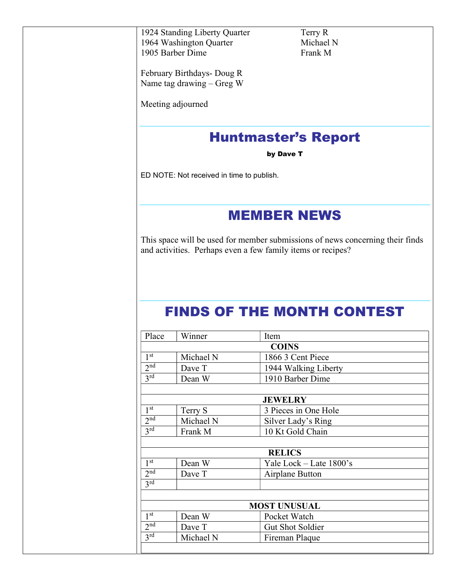1924 Standing Liberty Quarter Terry R 1964 Washington Quarter Michael N 1905 Barber Dime Frank M

February Birthdays- Doug R Name tag drawing – Greg W

Meeting adjourned

## Huntmaster's Report

by Dave T

ED NOTE: Not received in time to publish.

### MEMBER NEWS

This space will be used for member submissions of news concerning their finds and activities. Perhaps even a few family items or recipes?

# FINDS OF THE MONTH CONTEST

| Place               | Winner    | Item                    |  |  |  |  |  |
|---------------------|-----------|-------------------------|--|--|--|--|--|
| <b>COINS</b>        |           |                         |  |  |  |  |  |
| 1 <sup>st</sup>     | Michael N | 1866 3 Cent Piece       |  |  |  |  |  |
| 2 <sup>nd</sup>     | Dave T    | 1944 Walking Liberty    |  |  |  |  |  |
| 3 <sup>rd</sup>     | Dean W    | 1910 Barber Dime        |  |  |  |  |  |
|                     |           |                         |  |  |  |  |  |
| <b>JEWELRY</b>      |           |                         |  |  |  |  |  |
| 1 <sup>st</sup>     | Terry S   | 3 Pieces in One Hole    |  |  |  |  |  |
| 2 <sup>nd</sup>     | Michael N | Silver Lady's Ring      |  |  |  |  |  |
| 3 <sup>rd</sup>     | Frank M   | 10 Kt Gold Chain        |  |  |  |  |  |
|                     |           |                         |  |  |  |  |  |
| <b>RELICS</b>       |           |                         |  |  |  |  |  |
| 1 <sup>st</sup>     | Dean W    | Yale Lock - Late 1800's |  |  |  |  |  |
| 2 <sup>nd</sup>     | Dave T    | Airplane Button         |  |  |  |  |  |
| 3 <sup>rd</sup>     |           |                         |  |  |  |  |  |
|                     |           |                         |  |  |  |  |  |
| <b>MOST UNUSUAL</b> |           |                         |  |  |  |  |  |
| 1 <sup>st</sup>     | Dean W    | Pocket Watch            |  |  |  |  |  |
| 2 <sup>nd</sup>     | Dave T    | Gut Shot Soldier        |  |  |  |  |  |
| 3 <sup>rd</sup>     | Michael N | Fireman Plaque          |  |  |  |  |  |
|                     |           |                         |  |  |  |  |  |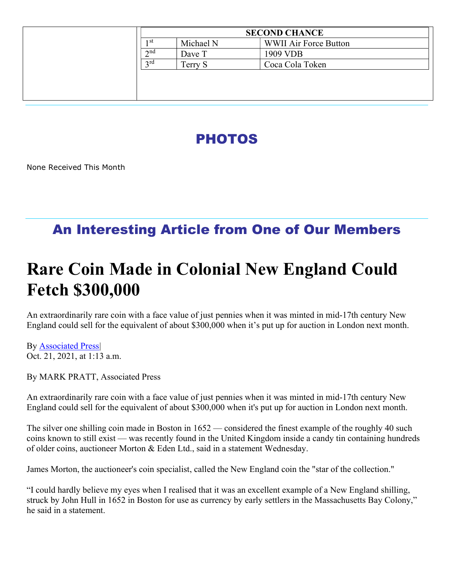| <b>SECOND CHANCE</b> |           |                              |  |
|----------------------|-----------|------------------------------|--|
| 1 st                 | Michael N | <b>WWII Air Force Button</b> |  |
| $\gamma$ nd          | Dave T    | 1909 VDB                     |  |
| 2rd                  | Terry S   | Coca Cola Token              |  |
|                      |           |                              |  |
|                      |           |                              |  |
|                      |           |                              |  |

# PHOTOS

None Received This Month

## An Interesting Article from One of Our Members

# Rare Coin Made in Colonial New England Could Fetch \$300,000

An extraordinarily rare coin with a face value of just pennies when it was minted in mid-17th century New England could sell for the equivalent of about \$300,000 when it's put up for auction in London next month.

By Associated Press| Oct. 21, 2021, at 1:13 a.m.

By MARK PRATT, Associated Press

An extraordinarily rare coin with a face value of just pennies when it was minted in mid-17th century New England could sell for the equivalent of about \$300,000 when it's put up for auction in London next month.

The silver one shilling coin made in Boston in 1652 — considered the finest example of the roughly 40 such coins known to still exist — was recently found in the United Kingdom inside a candy tin containing hundreds of older coins, auctioneer Morton & Eden Ltd., said in a statement Wednesday.

James Morton, the auctioneer's coin specialist, called the New England coin the "star of the collection."

"I could hardly believe my eyes when I realised that it was an excellent example of a New England shilling, struck by John Hull in 1652 in Boston for use as currency by early settlers in the Massachusetts Bay Colony," he said in a statement.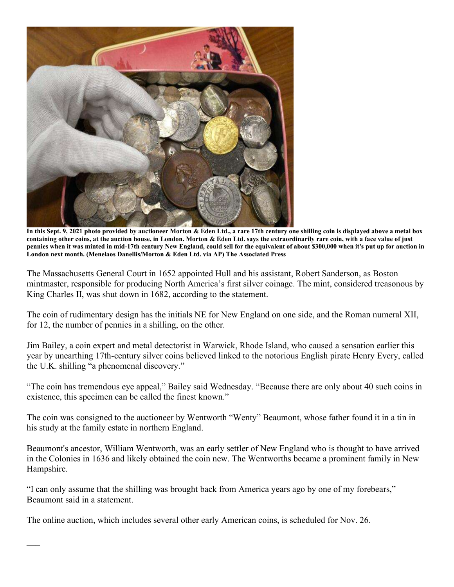

In this Sept. 9, 2021 photo provided by auctioneer Morton & Eden Ltd., a rare 17th century one shilling coin is displayed above a metal box containing other coins, at the auction house, in London. Morton & Eden Ltd. says the extraordinarily rare coin, with a face value of just pennies when it was minted in mid-17th century New England, could sell for the equivalent of about \$300,000 when it's put up for auction in London next month. (Menelaos Danellis/Morton & Eden Ltd. via AP) The Associated Press

The Massachusetts General Court in 1652 appointed Hull and his assistant, Robert Sanderson, as Boston mintmaster, responsible for producing North America's first silver coinage. The mint, considered treasonous by King Charles II, was shut down in 1682, according to the statement.

The coin of rudimentary design has the initials NE for New England on one side, and the Roman numeral XII, for 12, the number of pennies in a shilling, on the other.

Jim Bailey, a coin expert and metal detectorist in Warwick, Rhode Island, who caused a sensation earlier this year by unearthing 17th-century silver coins believed linked to the notorious English pirate Henry Every, called the U.K. shilling "a phenomenal discovery."

"The coin has tremendous eye appeal," Bailey said Wednesday. "Because there are only about 40 such coins in existence, this specimen can be called the finest known."

The coin was consigned to the auctioneer by Wentworth "Wenty" Beaumont, whose father found it in a tin in his study at the family estate in northern England.

Beaumont's ancestor, William Wentworth, was an early settler of New England who is thought to have arrived in the Colonies in 1636 and likely obtained the coin new. The Wentworths became a prominent family in New Hampshire.

"I can only assume that the shilling was brought back from America years ago by one of my forebears," Beaumont said in a statement.

The online auction, which includes several other early American coins, is scheduled for Nov. 26.